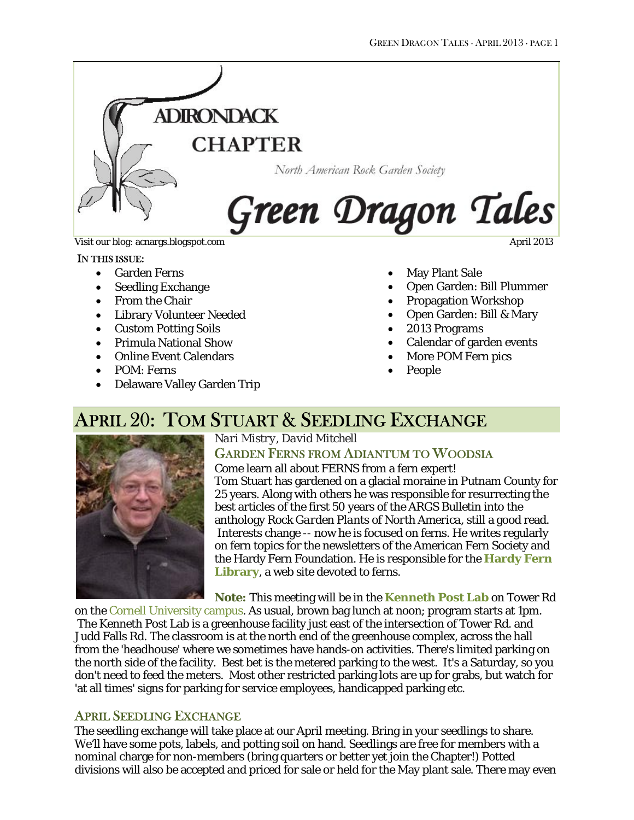

#### IN THIS ISSUE:

- Garden Ferns
- Seedling Exchange
- From the Chair
- Library Volunteer Needed
- Custom Potting Soils
- Primula National Show
- Online Event Calendars
- POM: Ferns
- Delaware Valley Garden Trip
- May Plant Sale
- Open Garden: Bill Plummer
- Propagation Workshop
- Open Garden: Bill & Mary
- 2013 Programs
- Calendar of garden events
- More POM Fern pics
- People

## APRIL 20: TOM STUART & SEEDLING EXCHANGE



*Nari Mistry, David Mitchell* GARDEN FERNS FROM ADIANTUM TO WOODSIA

Come learn all about FERNS from a fern expert! Tom Stuart has gardened on a glacial moraine in Putnam County for 25 years. Along with others he was responsible for resurrecting the best articles of the first 50 years of the ARGS Bulletin into the anthology *Rock Garden Plants of North America*, still a good read. Interests change -- now he is focused on ferns. He writes regularly on fern topics for the newsletters of the American Fern Society and the Hardy Fern Foundation. He is responsible for the **[Hardy Fern](http://hardyfernlibrary.com/)  [Library](http://hardyfernlibrary.com/)**, a web site devoted to ferns.

**Note:** This meeting will be in the **[Kenneth Post Lab](https://maps.google.com/maps?q=Kenneth+Post+Laboratory,+Ithaca,+NY&hl=en&sll=42.441281,-75.596055&sspn=0.054156,0.132093&oq=kenneth+post+&hq=Kenneth+Post+Laboratory,+Ithaca,+NY&t=m&z=15)** on Tower Rd

on the [Cornell University campus.](http://www.cornell.edu/maps/) As usual, brown bag lunch at noon; program starts at 1pm. The Kenneth Post Lab is a greenhouse facility just east of the intersection of Tower Rd. and Judd Falls Rd. The classroom is at the north end of the greenhouse complex, across the hall from the 'headhouse' where we sometimes have hands-on activities. There's limited parking on the north side of the facility. Best bet is the metered parking to the west. It's a Saturday, so you don't need to feed the meters. Most other restricted parking lots are up for grabs, but watch for 'at all times' signs for parking for service employees, handicapped parking etc.

### APRIL SEEDLING EXCHANGE

The seedling exchange will take place at our April meeting. Bring in your seedlings to share. We'll have some pots, labels, and potting soil on hand. Seedlings are free for members with a nominal charge for non-members (bring quarters or better yet join the Chapter!) Potted divisions will also be accepted and priced for sale or held for the May plant sale. There may even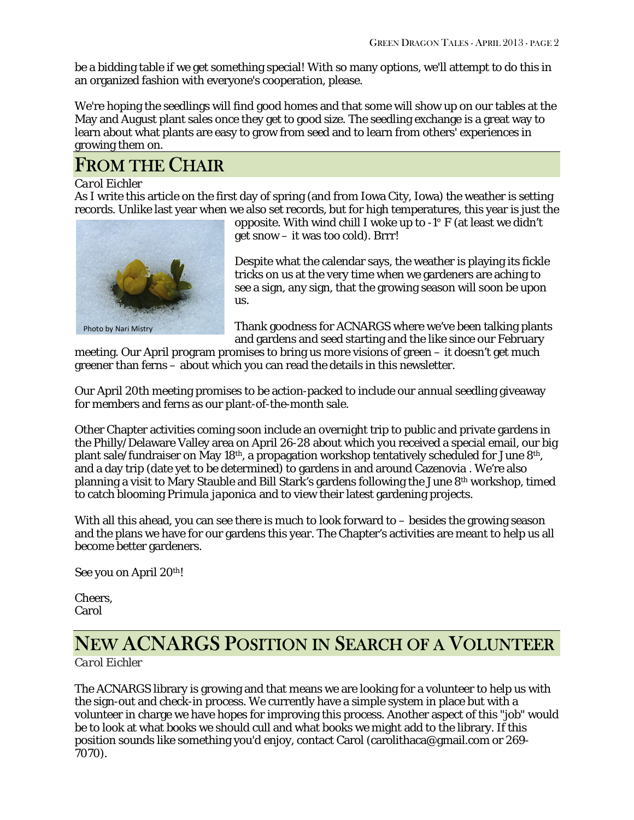be a bidding table if we get something special! With so many options, we'll attempt to do this in an organized fashion with everyone's cooperation, please.

We're hoping the seedlings will find good homes and that some will show up on our tables at the May and August plant sales once they get to good size. The seedling exchange is a great way to learn about what plants are easy to grow from seed and to learn from others' experiences in growing them on.

# FROM THE CHAIR

### *Carol Eichler*

As I write this article on the first day of spring (and from Iowa City, Iowa) the weather is setting records. Unlike last year when we also set records, but for high temperatures, this year is just the



Photo by Nari Mistry

opposite. With wind chill I woke up to -1° F (at least we didn't get snow – it was too cold). Brrr!

Despite what the calendar says, the weather is playing its fickle tricks on us at the very time when we gardeners are aching to see a sign, any sign, that the growing season will soon be upon us.

Thank goodness for ACNARGS where we've been talking plants and gardens and seed starting and the like since our February

meeting. Our April program promises to bring us more visions of green – it doesn't get much greener than ferns – about which you can read the details in this newsletter.

Our April 20th meeting promises to be action-packed to include our annual seedling giveaway for members and ferns as our plant-of-the-month sale.

Other Chapter activities coming soon include an overnight trip to public and private gardens in the Philly/Delaware Valley area on April 26-28 about which you received a special email, our big plant sale/fundraiser on May 18th, a propagation workshop tentatively scheduled for June 8th, and a day trip (date yet to be determined) to gardens in and around Cazenovia . We're also planning a visit to Mary Stauble and Bill Stark's gardens following the June 8th workshop, timed to catch blooming *Primula japonica* and to view their latest gardening projects.

With all this ahead, you can see there is much to look forward to – besides the growing season and the plans we have for our gardens this year. The Chapter's activities are meant to help us all become better gardeners.

See you on April 20<sup>th</sup>!

Cheers, Carol

# NEW ACNARGS POSITION IN SEARCH OF A VOLUNTEER

### *Carol Eichler*

The ACNARGS library is growing and that means we are looking for a volunteer to help us with the sign-out and check-in process. We currently have a simple system in place but with a volunteer in charge we have hopes for improving this process. Another aspect of this "job" would be to look at what books we should cull and what books we might add to the library. If this position sounds like something you'd enjoy, contact Carol [\(carolithaca@gmail.com](mailto:carolithaca@gmail.com) or 269- 7070).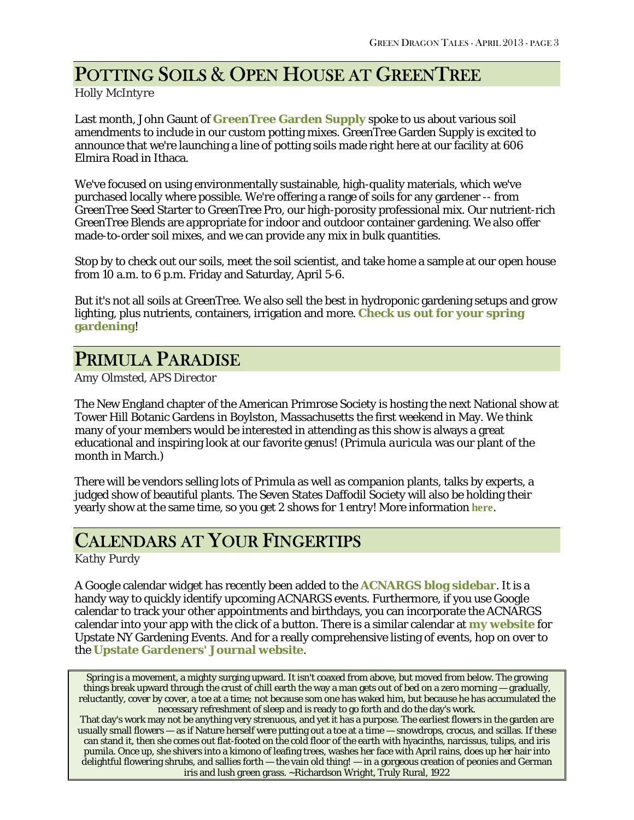# POTTING SOILS & OPEN HOUSE AT GREENTREE

### *Holly McIntyre*

Last month, John Gaunt of **[GreenTree Garden Supply](http://www.greentreegardensupply.com/)** spoke to us about various soil amendments to include in our custom potting mixes. GreenTree Garden Supply is excited to announce that we're launching a line of potting soils made right here at our facility at 606 Elmira Road in Ithaca.

We've focused on using environmentally sustainable, high-quality materials, which we've purchased locally where possible. We're offering a range of soils for any gardener -- from GreenTree Seed Starter to GreenTree Pro, our high-porosity professional mix. Our nutrient-rich GreenTree Blends are appropriate for indoor and outdoor container gardening. We also offer made-to-order soil mixes, and we can provide any mix in bulk quantities.

Stop by to check out our soils, meet the soil scientist, and take home a sample at our open house from 10 a.m. to 6 p.m. Friday and Saturday, April 5-6.

But it's not all soils at GreenTree. We also sell the best in hydroponic gardening setups and grow lighting, plus nutrients, containers, irrigation and more. **[Check us out for your spring](http://www.greentreegardensupply.com/)  [gardening](http://www.greentreegardensupply.com/)**!

# PRIMULA PARADISE

*Amy Olmsted, APS Director*

The New England chapter of the American Primrose Society is hosting the next National show at Tower Hill Botanic Gardens in Boylston, Massachusetts the first weekend in May. We think many of your members would be interested in attending as this show is always a great educational and inspiring look at our favorite genus! (*Primula auricula* was our plant of the month in March.)

There will be vendors selling lots of Primula as well as companion plants, talks by experts, a judged show of beautiful plants. The Seven States Daffodil Society will also be holding their yearly show at the same time, so you get 2 shows for 1 entry! More information **[here](http://www.americanprimrosesociety.org/images/stories/PDF/2013%20show%20events.pdf)**.

# CALENDARS AT YOUR FINGERTIPS

*Kathy Purdy*

A Google calendar widget has recently been added to the **[ACNARGS blog sidebar](http://acnargs.blogspot.com/)**. It is a handy way to quickly identify upcoming ACNARGS events. Furthermore, if you use Google calendar to track your other appointments and birthdays, you can incorporate the ACNARGS calendar into your app with the click of a button. There is a similar calendar at **[my website](http://www.coldclimategardening.com/)** for Upstate NY Gardening Events. And for a really comprehensive listing of events, hop on over to the **[Upstate Gardeners' Journal website](http://upstategardenersjournal.com/calendar/)**.

Spring is a movement, a mighty surging upward. It isn't coaxed from above, but moved from below. The growing things break upward through the crust of chill earth the way a man gets out of bed on a zero morning — gradually, reluctantly, cover by cover, a toe at a time; not because som one has waked him, but because he has accumulated the necessary refreshment of sleep and is ready to go forth and do the day's work.

That day's work may not be anything very strenuous, and yet it has a purpose. The earliest flowers in the garden are usually small flowers — as if Nature herself were putting out a toe at a time — snowdrops, crocus, and scillas. If these can stand it, then she comes out flat-footed on the cold floor of the earth with hyacinths, narcissus, tulips, and iris pumila. Once up, she shivers into a kimono of leafing trees, washes her face with April rains, does up her hair into delightful flowering shrubs, and sallies forth — the vain old thing! — in a gorgeous creation of peonies and German iris and lush green grass. ~Richardson Wright, Truly Rural, 1922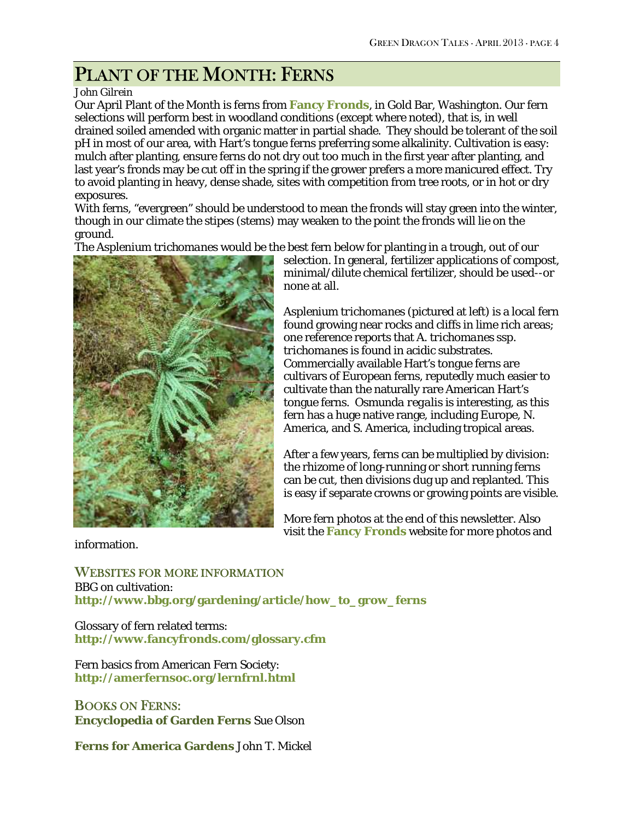# PLANT OF THE MONTH: FERNS

### *John Gilrein*

Our April Plant of the Month is ferns from **[Fancy Fronds](http://fancyfronds.com/)**, in Gold Bar, Washington. Our fern selections will perform best in woodland conditions (except where noted), that is, in well drained soiled amended with organic matter in partial shade. They should be tolerant of the soil pH in most of our area, with Hart's tongue ferns preferring some alkalinity. Cultivation is easy: mulch after planting, ensure ferns do not dry out too much in the first year after planting, and last year's fronds may be cut off in the spring if the grower prefers a more manicured effect. Try to avoid planting in heavy, dense shade, sites with competition from tree roots, or in hot or dry exposures.

With ferns, "evergreen" should be understood to mean the fronds will stay green into the winter, though in our climate the stipes (stems) may weaken to the point the fronds will lie on the ground.

The *Asplenium trichomanes* would be the best fern below for planting in a trough, out of our



selection. In general, fertilizer applications of compost, minimal/dilute chemical fertilizer, should be used--or none at all.

*Asplenium trichomanes* (pictured at left) is a local fern found growing near rocks and cliffs in lime rich areas; one reference reports that *A. trichomanes ssp. trichomanes* is found in acidic substrates. Commercially available Hart's tongue ferns are cultivars of European ferns, reputedly much easier to cultivate than the naturally rare American Hart's tongue ferns. *Osmunda regalis* is interesting, as this fern has a huge native range, including Europe, N. America, and S. America, including tropical areas.

After a few years, ferns can be multiplied by division: the rhizome of long-running or short running ferns can be cut, then divisions dug up and replanted. This is easy if separate crowns or growing points are visible.

More fern photos at the end of this newsletter. Also visit the **[Fancy Fronds](http://fancyfronds.com/)** website for more photos and

information.

WEBSITES FOR MORE INFORMATION BBG on cultivation: **[http://www.bbg.org/gardening/article/how\\_to\\_grow\\_ferns](http://www.bbg.org/gardening/article/how_to_grow_ferns)**

Glossary of fern related terms: **http://www.fancyfronds.com/glossary.cfm**

Fern basics from American Fern Society: **<http://amerfernsoc.org/lernfrnl.html>**

BOOKS ON FERNS: **Encyclopedia of Garden Ferns** Sue Olson

**Ferns for America Gardens** John T. Mickel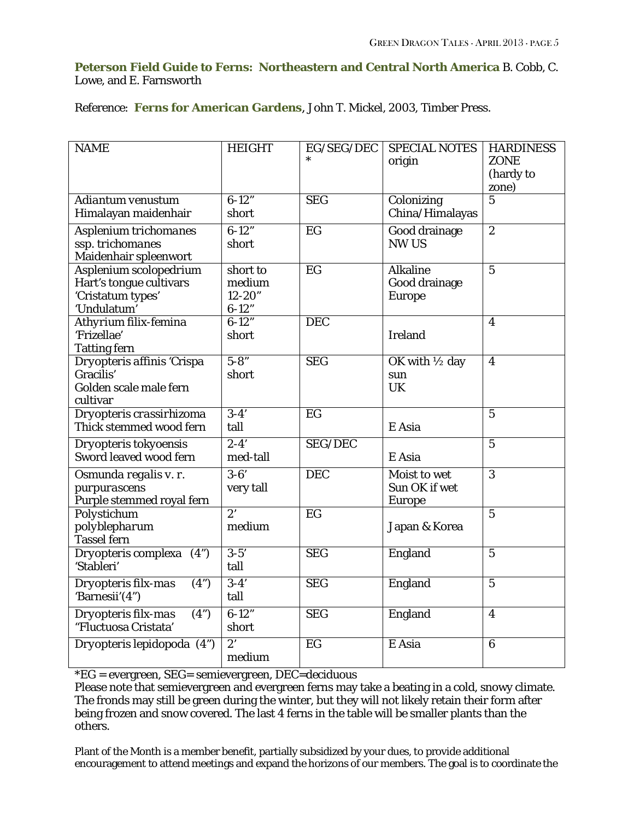### **Peterson Field Guide to Ferns: Northeastern and Central North America** B. Cobb, C. Lowe, and E. Farnsworth

Reference: **Ferns for American Gardens**, John T. Mickel, 2003, Timber Press.

| <b>NAME</b>                 | <b>HEIGHT</b>    | EG/SEG/DEC      | <b>SPECIAL NOTES</b>      | <b>HARDINESS</b>        |
|-----------------------------|------------------|-----------------|---------------------------|-------------------------|
|                             |                  |                 | origin                    | <b>ZONE</b>             |
|                             |                  |                 |                           | (hardy to               |
|                             | $6 - 12"$        |                 |                           | zone)<br>$\overline{5}$ |
| Adiantum venustum           |                  | <b>SEG</b>      | Colonizing                |                         |
| Himalayan maidenhair        | short            |                 | China/Himalayas           |                         |
| Asplenium trichomanes       | $6 - 12"$        | $\overline{EG}$ | Good drainage             | $\overline{2}$          |
| ssp. trichomanes            | short            |                 | <b>NW US</b>              |                         |
| Maidenhair spleenwort       |                  |                 |                           |                         |
| Asplenium scolopedrium      | short to         | EG              | <b>Alkaline</b>           | $\overline{5}$          |
| Hart's tongue cultivars     | medium           |                 | Good drainage             |                         |
| 'Cristatum types'           | $12 - 20"$       |                 | <b>Europe</b>             |                         |
| 'Undulatum'                 | $6 - 12"$        |                 |                           |                         |
| Athyrium filix-femina       | $6 - 12"$        | <b>DEC</b>      |                           | $\overline{\mathbf{4}}$ |
| 'Frizellae'                 | short            |                 | <b>Ireland</b>            |                         |
| <b>Tatting fern</b>         |                  |                 |                           |                         |
| Dryopteris affinis 'Crispa  | $5 - 8"$         | <b>SEG</b>      | OK with $\frac{1}{2}$ day | $\overline{\mathbf{4}}$ |
| Gracilis'                   | short            |                 | sun                       |                         |
| Golden scale male fern      |                  |                 | <b>UK</b>                 |                         |
| cultivar                    |                  |                 |                           |                         |
| Dryopteris crassirhizoma    | $3-4'$           | $\overline{EG}$ |                           | $5\phantom{.0}$         |
| Thick stemmed wood fern     | tall             |                 | E Asia                    |                         |
| Dryopteris tokyoensis       | $2-4'$           | <b>SEG/DEC</b>  |                           | $\overline{5}$          |
| Sword leaved wood fern      | med-tall         |                 | E Asia                    |                         |
| Osmunda regalis v. r.       | $\overline{3-6}$ | <b>DEC</b>      | Moist to wet              | $\overline{3}$          |
| purpurascens                | very tall        |                 | Sun OK if wet             |                         |
| Purple stemmed royal fern   |                  |                 | <b>Europe</b>             |                         |
| Polystichum                 | $\overline{2}$   | EG              |                           | $\overline{5}$          |
| polyblepharum               | medium           |                 | Japan & Korea             |                         |
| Tassel fern                 |                  |                 |                           |                         |
| Dryopteris complexa (4")    | $3 - 5'$         | <b>SEG</b>      | England                   | $\overline{5}$          |
| 'Stableri'                  | tall             |                 |                           |                         |
| Dryopteris filx-mas<br>(4") | $\overline{3-4}$ | <b>SEG</b>      | England                   | $\overline{5}$          |
| 'Barnesii'(4")              | tall             |                 |                           |                         |
|                             |                  |                 |                           |                         |
| (4")<br>Dryopteris filx-mas | $6-12"$          | <b>SEG</b>      | England                   | $\overline{\mathbf{4}}$ |
| "Fluctuosa Cristata'        | short            |                 |                           |                         |
| Dryopteris lepidopoda (4")  | $\overline{2}$   | EG              | E Asia                    | $6\phantom{1}$          |
|                             | medium           |                 |                           |                         |

\*EG = evergreen, SEG= semievergreen, DEC=deciduous

Please note that semievergreen and evergreen ferns may take a beating in a cold, snowy climate. The fronds may still be green during the winter, but they will not likely retain their form after being frozen and snow covered. The last 4 ferns in the table will be smaller plants than the others.

Plant of the Month is a member benefit, partially subsidized by your dues, to provide additional encouragement to attend meetings and expand the horizons of our members. The goal is to coordinate the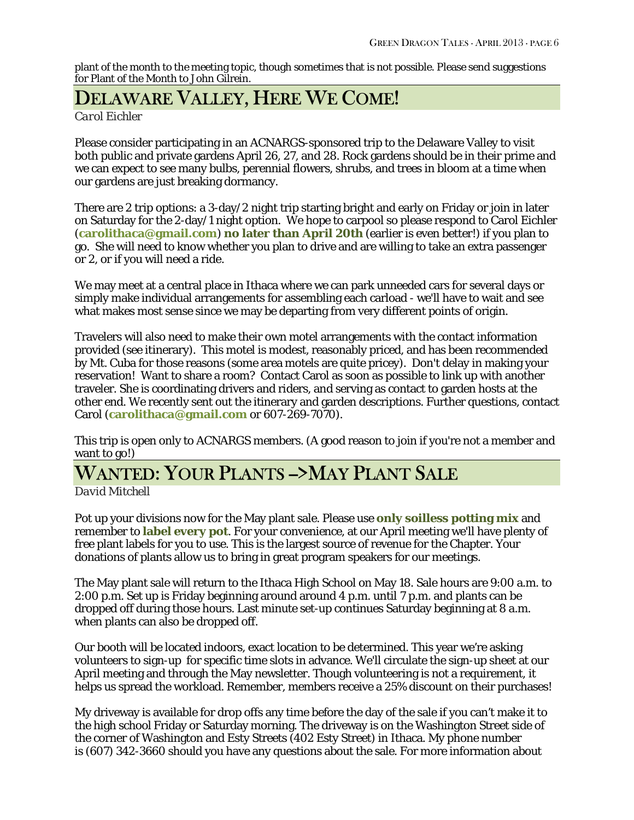plant of the month to the meeting topic, though sometimes that is not possible. Please send suggestions for Plant of the Month to John Gilrein.

## DELAWARE VALLEY, HERE WE COME!

*Carol Eichler*

Please consider participating in an ACNARGS-sponsored trip to the Delaware Valley to visit both public and private gardens April 26, 27, and 28. Rock gardens should be in their prime and we can expect to see many bulbs, perennial flowers, shrubs, and trees in bloom at a time when our gardens are just breaking dormancy.

There are 2 trip options: a 3-day/2 night trip starting bright and early on Friday or join in later on Saturday for the 2-day/1 night option. We hope to carpool so please respond to Carol Eichler (**[carolithaca@gmail.com](mailto:carolithaca@gmail.com)**) **no later than April 20th** (earlier is even better!) if you plan to go. She will need to know whether you plan to drive and are willing to take an extra passenger or 2, or if you will need a ride.

We may meet at a central place in Ithaca where we can park unneeded cars for several days or simply make individual arrangements for assembling each carload - we'll have to wait and see what makes most sense since we may be departing from very different points of origin.

Travelers will also need to make their own motel arrangements with the contact information provided (see itinerary). This motel is modest, reasonably priced, and has been recommended by Mt. Cuba for those reasons (some area motels are quite pricey). Don't delay in making your reservation! Want to share a room? Contact Carol as soon as possible to link up with another traveler. She is coordinating drivers and riders, and serving as contact to garden hosts at the other end. We recently sent out the itinerary and garden descriptions. Further questions, contact Carol (**[carolithaca@gmail.com](mailto:carolithaca@gmail.com)** or 607-269-7070).

This trip is open only to ACNARGS members. (A good reason to join if you're not a member and want to go!)

# WANTED: YOUR PLANTS ->MAY PLANT SALE

*David Mitchell*

Pot up your divisions now for the May plant sale. Please use **only soilless potting mix** and remember to **label every pot**. For your convenience, at our April meeting we'll have plenty of free plant labels for you to use. This is the largest source of revenue for the Chapter. Your donations of plants allow us to bring in great program speakers for our meetings.

The May plant sale will return to the Ithaca High School on May 18. Sale hours are 9:00 a.m. to 2:00 p.m. Set up is Friday beginning around around 4 p.m. until 7 p.m. and plants can be dropped off during those hours. Last minute set-up continues Saturday beginning at 8 a.m. when plants can also be dropped off.

Our booth will be located indoors, exact location to be determined. This year we're asking volunteers to sign-up for specific time slots in advance. We'll circulate the sign-up sheet at our April meeting and through the May newsletter. Though volunteering is not a requirement, it helps us spread the workload. Remember, members receive a 25% discount on their purchases!

My driveway is available for drop offs any time before the day of the sale if you can't make it to the high school Friday or Saturday morning. The driveway is on the Washington Street side of the corner of Washington and Esty Streets (402 Esty Street) in Ithaca. My phone number is (607) 342-3660 should you have any questions about the sale. For more information about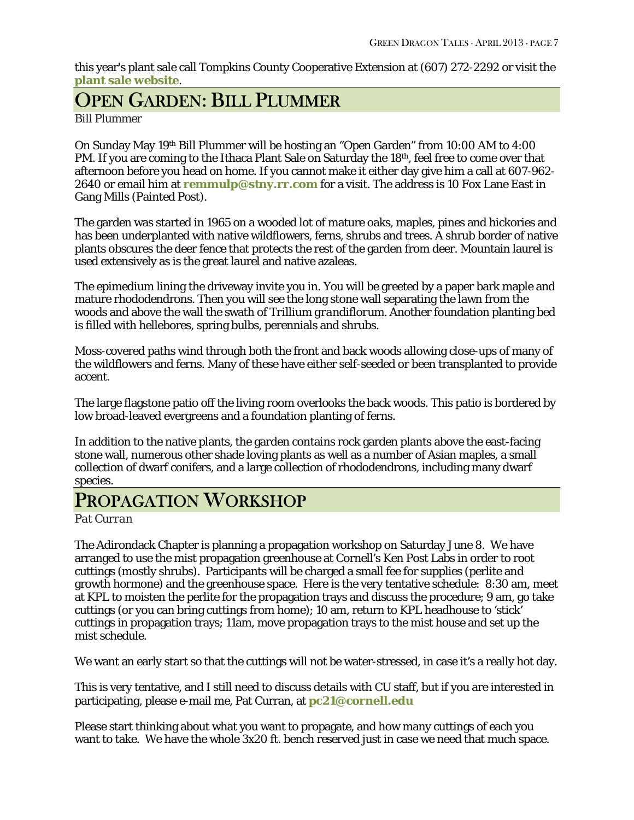this year's plant sale call Tompkins County Cooperative Extension at (607) 272-2292 or visit the **[plant sale website](http://ccetompkins.org/garden/spring-plant-sale)**.

# OPEN GARDEN: BILL PLUMMER

*Bill Plummer*

On Sunday May 19th Bill Plummer will be hosting an "Open Garden" from 10:00 AM to 4:00 PM. If you are coming to the Ithaca Plant Sale on Saturday the 18<sup>th</sup>, feel free to come over that afternoon before you head on home. If you cannot make it either day give him a call at 607-962- 2640 or email him at **[remmulp@stny.rr.com](mailto:remmulp@stny.rr.com)** for a visit. The address is 10 Fox Lane East in Gang Mills (Painted Post).

The garden was started in 1965 on a wooded lot of mature oaks, maples, pines and hickories and has been underplanted with native wildflowers, ferns, shrubs and trees. A shrub border of native plants obscures the deer fence that protects the rest of the garden from deer. Mountain laurel is used extensively as is the great laurel and native azaleas.

The epimedium lining the driveway invite you in. You will be greeted by a paper bark maple and mature rhododendrons. Then you will see the long stone wall separating the lawn from the woods and above the wall the swath of *Trillium grandiflorum*. Another foundation planting bed is filled with hellebores, spring bulbs, perennials and shrubs.

Moss-covered paths wind through both the front and back woods allowing close-ups of many of the wildflowers and ferns. Many of these have either self-seeded or been transplanted to provide accent.

The large flagstone patio off the living room overlooks the back woods. This patio is bordered by low broad-leaved evergreens and a foundation planting of ferns.

In addition to the native plants, the garden contains rock garden plants above the east-facing stone wall, numerous other shade loving plants as well as a number of Asian maples, a small collection of dwarf conifers, and a large collection of rhododendrons, including many dwarf species.

# PROPAGATION WORKSHOP

*Pat Curran*

The Adirondack Chapter is planning a propagation workshop on Saturday June 8. We have arranged to use the mist propagation greenhouse at Cornell's Ken Post Labs in order to root cuttings (mostly shrubs). Participants will be charged a small fee for supplies (perlite and growth hormone) and the greenhouse space. Here is the very tentative schedule: 8:30 am, meet at KPL to moisten the perlite for the propagation trays and discuss the procedure; 9 am, go take cuttings (or you can bring cuttings from home); 10 am, return to KPL headhouse to 'stick' cuttings in propagation trays; 11am, move propagation trays to the mist house and set up the mist schedule.

We want an early start so that the cuttings will not be water-stressed, in case it's a really hot day.

This is very tentative, and I still need to discuss details with CU staff, but if you are interested in participating, please e-mail me, Pat Curran, at **[pc21@cornell.edu](mailto:pc21@cornell.edu)**

Please start thinking about what you want to propagate, and how many cuttings of each you want to take. We have the whole 3x20 ft. bench reserved just in case we need that much space.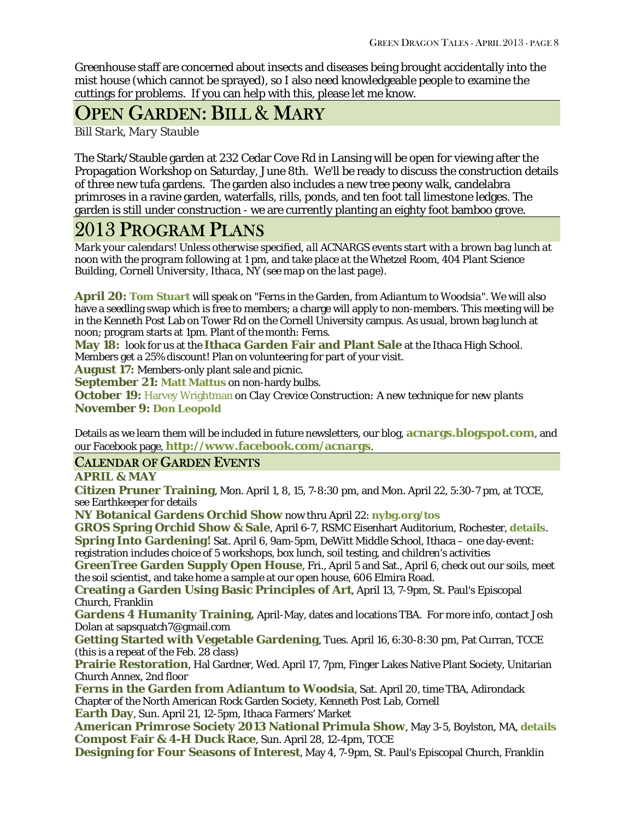Greenhouse staff are concerned about insects and diseases being brought accidentally into the mist house (which cannot be sprayed), so I also need knowledgeable people to examine the cuttings for problems. If you can help with this, please let me know.

# OPEN GARDEN: BILL & MARY

*Bill Stark, Mary Stauble*

The Stark/Stauble garden at 232 Cedar Cove Rd in Lansing will be open for viewing after the Propagation Workshop on Saturday, June 8th. We'll be ready to discuss the construction details of three new tufa gardens. The garden also includes a new tree peony walk, candelabra primroses in a ravine garden, waterfalls, rills, ponds, and ten foot tall limestone ledges. The garden is still under construction - we are currently planting an eighty foot bamboo grove.

## 2013 PROGRAM PLANS

*Mark your calendars! Unless otherwise specified, all ACNARGS events start with a brown bag lunch at noon with the program following at 1 pm, and take place at the Whetzel Room, 404 Plant Science Building, Cornell University, Ithaca, NY (see map on the last page).*

**April 20: [Tom Stuart](http://hardyfernlibrary.com/ferns/)** will speak on "Ferns in the Garden, from *Adiantum* to *Woodsia*". We will also have a seedling swap which is free to members; a charge will apply to non-members. This meeting will be in the Kenneth Post Lab on Tower Rd on the Cornell University campus. As usual, brown bag lunch at noon; program starts at 1pm. Plant of the month: Ferns.

**May 18:** look for us at the **Ithaca Garden Fair and Plant Sale** at the Ithaca High School. Members get a 25% discount! Plan on volunteering for part of your visit.

**August 17:** Members-only plant sale and picnic.

**September 21: [Matt Mattus](http://www.growingwithplants.com/)** on non-hardy bulbs.

**October 19:** [Harvey Wrightman](http://www.wrightmanalpines.com/) on *Clay Crevice Construction: A new technique for new plants* **November 9: [Don Leopold](http://www.timberpress.com/speakers/author?id=61)**

Details as we learn them will be included in future newsletters, our blog, **[acnargs.blogspot.com](http://acnargs.blogspot.com/)**, and our Facebook page, **[http://www.facebook.com/acnargs](http://acnargs.blogspot.com/)**.

## CALENDAR OF GARDEN EVENTS

**APRIL & MAY**

**Citizen Pruner Training**, Mon. April 1, 8, 15, 7-8:30 pm, and Mon. April 22, 5:30-7 pm, at TCCE, see Earthkeeper for details

**NY Botanical Gardens Orchid Show** now thru April 22: **[nybg.org/tos](http://nybg.org/tos)**

**GROS Spring Orchid Show & Sale**, April 6-7, RSMC Eisenhart Auditorium, Rochester, **[details](http://geneseeorchid.org/geneseeorchid/index.php/annual-orchid-show)**. **Spring Into Gardening!** Sat. April 6, 9am-5pm, DeWitt Middle School, Ithaca – one day-event: registration includes choice of 5 workshops, box lunch, soil testing, and children's activities

**GreenTree Garden Supply Open House**, Fri., April 5 and Sat., April 6, check out our soils, meet the soil scientist, and take home a sample at our open house, 606 Elmira Road.

**Creating a Garden Using Basic Principles of Art**, April 13, 7-9pm, St. Paul's Episcopal Church, Franklin

**Gardens 4 Humanity Training,** April-May, dates and locations TBA. For more info, contact Josh Dolan at sapsquatch7@gmail.com

**Getting Started with Vegetable Gardening**, Tues. April 16, 6:30-8:30 pm, Pat Curran, TCCE (this is a repeat of the Feb. 28 class)

**Prairie Restoration**, Hal Gardner, Wed. April 17, 7pm, Finger Lakes Native Plant Society, Unitarian Church Annex, 2nd floor

**Ferns in the Garden from Adiantum to Woodsia**, Sat. April 20, time TBA, Adirondack Chapter of the North American Rock Garden Society, Kenneth Post Lab, Cornell **Earth Day**, Sun. April 21, 12-5pm, Ithaca Farmers' Market

**American Primrose Society 2013 National Primula Show**, May 3-5, Boylston, MA, **[details](http://www.americanprimrosesociety.org/images/stories/PDF/2013%20show%20events.pdf) Compost Fair & 4-H Duck Race**, Sun. April 28, 12-4pm, TCCE

**Designing for Four Seasons of Interest**, May 4, 7-9pm, St. Paul's Episcopal Church, Franklin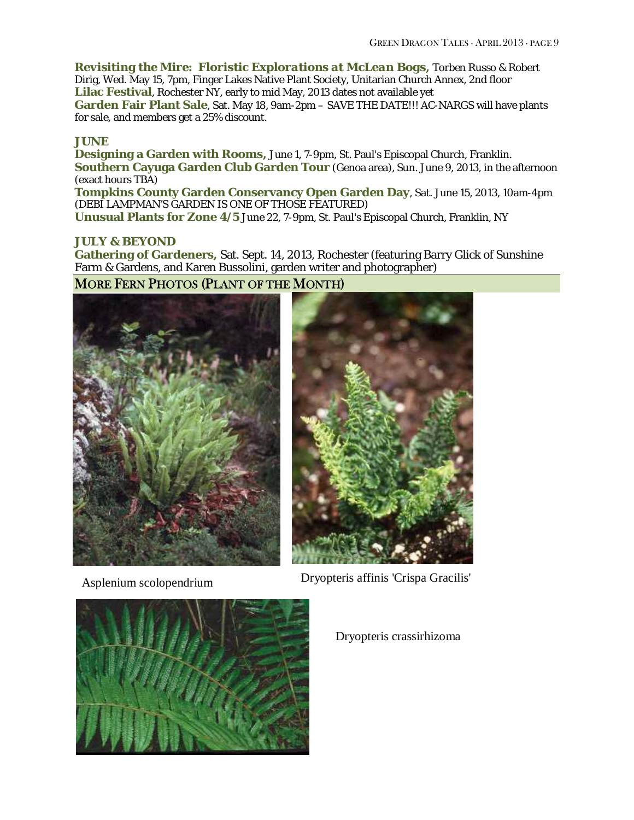*Revisiting the Mire: Floristic Explorations at McLean Bogs***,** Torben Russo & Robert Dirig, Wed. May 15, 7pm, Finger Lakes Native Plant Society, Unitarian Church Annex, 2nd floor **Lilac Festival**, Rochester NY, early to mid May, 2013 dates not available yet **Garden Fair Plant Sale**, Sat. May 18, 9am-2pm – SAVE THE DATE!!! AC-NARGS will have plants for sale, and members get a 25% discount.

#### **JUNE**

**Designing a Garden with Rooms,** June 1, 7-9pm, St. Paul's Episcopal Church, Franklin. **Southern Cayuga Garden Club Garden Tour** (Genoa area), Sun. June 9, 2013, in the afternoon (exact hours TBA)

**Tompkins County Garden Conservancy Open Garden Day**, Sat. June 15, 2013, 10am-4pm (DEBI LAMPMAN'S GARDEN IS ONE OF THOSE FEATURED)

**Unusual Plants for Zone 4/5** June 22, 7-9pm, St. Paul's Episcopal Church, Franklin, NY

### **JULY & BEYOND**

**Gathering of Gardeners,** Sat. Sept. 14, 2013, Rochester (featuring Barry Glick of Sunshine Farm & Gardens, and Karen Bussolini, garden writer and photographer)

### MORE FERN PHOTOS (PLANT OF THE MONTH)





Asplenium scolopendrium Dryopteris affinis 'Crispa Gracilis'



Dryopteris crassirhizoma